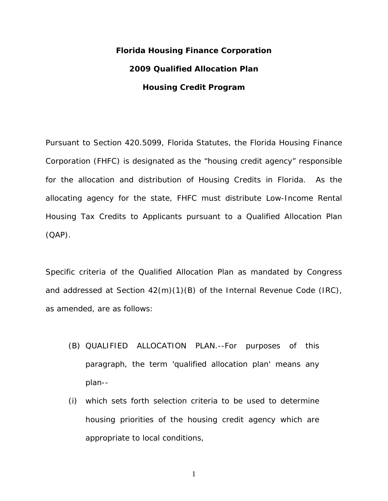# **Florida Housing Finance Corporation 2009 Qualified Allocation Plan Housing Credit Program**

Pursuant to Section 420.5099, Florida Statutes, the Florida Housing Finance Corporation (FHFC) is designated as the "housing credit agency" responsible for the allocation and distribution of Housing Credits in Florida. As the allocating agency for the state, FHFC must distribute Low-Income Rental Housing Tax Credits to Applicants pursuant to a Qualified Allocation Plan (QAP).

Specific criteria of the Qualified Allocation Plan as mandated by Congress and addressed at Section 42(m)(1)(B) of the Internal Revenue Code (IRC), as amended, are as follows:

- (B) QUALIFIED ALLOCATION PLAN.--For purposes of this paragraph, the term 'qualified allocation plan' means any plan--
- (i) which sets forth selection criteria to be used to determine housing priorities of the housing credit agency which are appropriate to local conditions,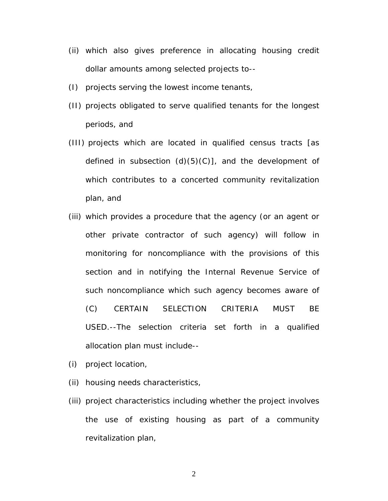- (ii) which also gives preference in allocating housing credit dollar amounts among selected projects to--
- (I) projects serving the lowest income tenants,
- (II) projects obligated to serve qualified tenants for the longest periods, and
- (III) projects which are located in qualified census tracts [as defined in subsection  $(d)(5)(C)$ , and the development of which contributes to a concerted community revitalization plan, and
- (iii) which provides a procedure that the agency (or an agent or other private contractor of such agency) will follow in monitoring for noncompliance with the provisions of this section and in notifying the Internal Revenue Service of such noncompliance which such agency becomes aware of (C) CERTAIN SELECTION CRITERIA MUST BE USED.--The selection criteria set forth in a qualified allocation plan must include--
- (i) project location,
- (ii) housing needs characteristics,
- (iii) project characteristics including whether the project involves the use of existing housing as part of a community revitalization plan,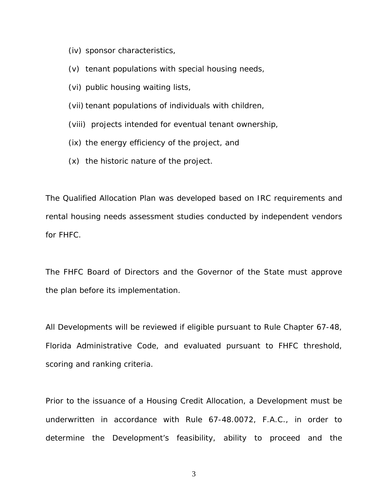- (iv) sponsor characteristics,
- (v) tenant populations with special housing needs,
- (vi) public housing waiting lists,
- (vii) tenant populations of individuals with children,
- (viii) projects intended for eventual tenant ownership,
- (ix) the energy efficiency of the project, and
- (x) the historic nature of the project.

The Qualified Allocation Plan was developed based on IRC requirements and rental housing needs assessment studies conducted by independent vendors for FHFC.

The FHFC Board of Directors and the Governor of the State must approve the plan before its implementation.

All Developments will be reviewed if eligible pursuant to Rule Chapter 67-48, Florida Administrative Code, and evaluated pursuant to FHFC threshold, scoring and ranking criteria.

Prior to the issuance of a Housing Credit Allocation, a Development must be underwritten in accordance with Rule 67-48.0072, F.A.C., in order to determine the Development's feasibility, ability to proceed and the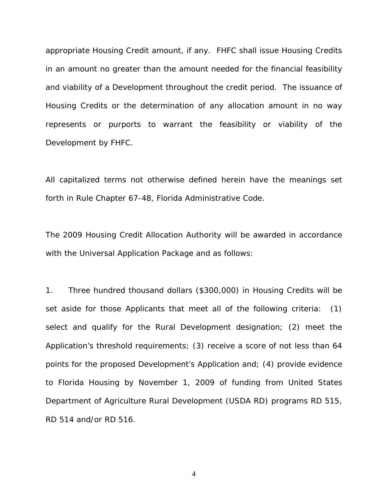appropriate Housing Credit amount, if any. FHFC shall issue Housing Credits in an amount no greater than the amount needed for the financial feasibility and viability of a Development throughout the credit period. The issuance of Housing Credits or the determination of any allocation amount in no way represents or purports to warrant the feasibility or viability of the Development by FHFC.

All capitalized terms not otherwise defined herein have the meanings set forth in Rule Chapter 67-48, Florida Administrative Code.

The 2009 Housing Credit Allocation Authority will be awarded in accordance with the Universal Application Package and as follows:

1. Three hundred thousand dollars (\$300,000) in Housing Credits will be set aside for those Applicants that meet all of the following criteria: (1) select and qualify for the Rural Development designation; (2) meet the Application's threshold requirements; (3) receive a score of not less than 64 points for the proposed Development's Application and; (4) provide evidence to Florida Housing by November 1, 2009 of funding from United States Department of Agriculture Rural Development (USDA RD) programs RD 515, RD 514 and/or RD 516.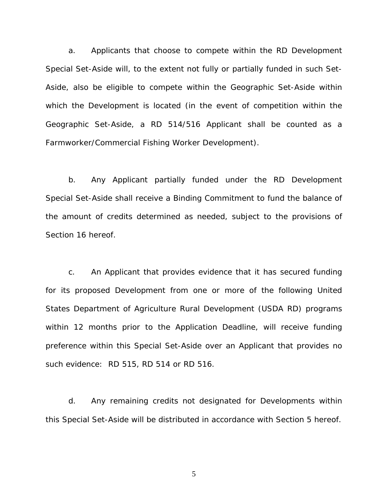a. Applicants that choose to compete within the RD Development Special Set-Aside will, to the extent not fully or partially funded in such Set-Aside, also be eligible to compete within the Geographic Set-Aside within which the Development is located (in the event of competition within the Geographic Set-Aside, a RD 514/516 Applicant shall be counted as a Farmworker/Commercial Fishing Worker Development).

b. Any Applicant partially funded under the RD Development Special Set-Aside shall receive a Binding Commitment to fund the balance of the amount of credits determined as needed, subject to the provisions of Section 16 hereof.

c. An Applicant that provides evidence that it has secured funding for its proposed Development from one or more of the following United States Department of Agriculture Rural Development (USDA RD) programs within 12 months prior to the Application Deadline, will receive funding preference within this Special Set-Aside over an Applicant that provides no such evidence: RD 515, RD 514 or RD 516.

d. Any remaining credits not designated for Developments within this Special Set-Aside will be distributed in accordance with Section 5 hereof.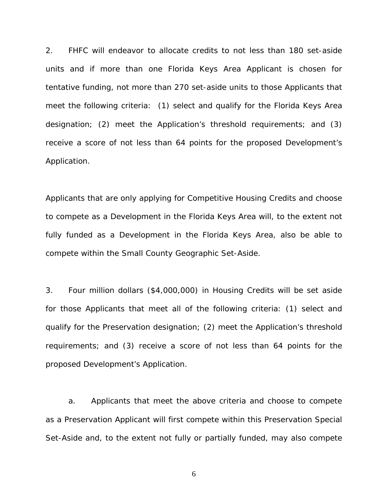2. FHFC will endeavor to allocate credits to not less than 180 set-aside units and if more than one Florida Keys Area Applicant is chosen for tentative funding, not more than 270 set-aside units to those Applicants that meet the following criteria: (1) select and qualify for the Florida Keys Area designation; (2) meet the Application's threshold requirements; and (3) receive a score of not less than 64 points for the proposed Development's Application.

Applicants that are only applying for Competitive Housing Credits and choose to compete as a Development in the Florida Keys Area will, to the extent not fully funded as a Development in the Florida Keys Area, also be able to compete within the Small County Geographic Set-Aside.

3. Four million dollars (\$4,000,000) in Housing Credits will be set aside for those Applicants that meet all of the following criteria: (1) select and qualify for the Preservation designation; (2) meet the Application's threshold requirements; and (3) receive a score of not less than 64 points for the proposed Development's Application.

a. Applicants that meet the above criteria and choose to compete as a Preservation Applicant will first compete within this Preservation Special Set-Aside and, to the extent not fully or partially funded, may also compete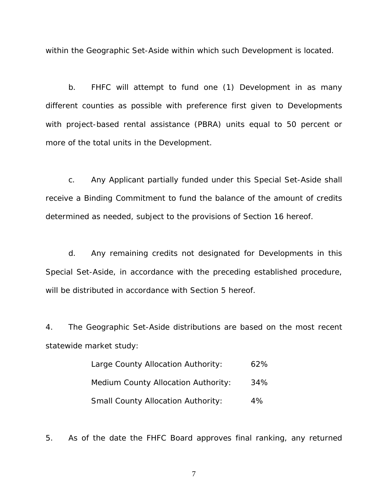within the Geographic Set-Aside within which such Development is located.

b. FHFC will attempt to fund one (1) Development in as many different counties as possible with preference first given to Developments with project-based rental assistance (PBRA) units equal to 50 percent or more of the total units in the Development.

c. Any Applicant partially funded under this Special Set-Aside shall receive a Binding Commitment to fund the balance of the amount of credits determined as needed, subject to the provisions of Section 16 hereof.

d. Any remaining credits not designated for Developments in this Special Set-Aside, in accordance with the preceding established procedure, will be distributed in accordance with Section 5 hereof.

4. The Geographic Set-Aside distributions are based on the most recent statewide market study:

| Large County Allocation Authority:         | 62% |
|--------------------------------------------|-----|
| <b>Medium County Allocation Authority:</b> | 34% |
| <b>Small County Allocation Authority:</b>  | 4%  |

5. As of the date the FHFC Board approves final ranking, any returned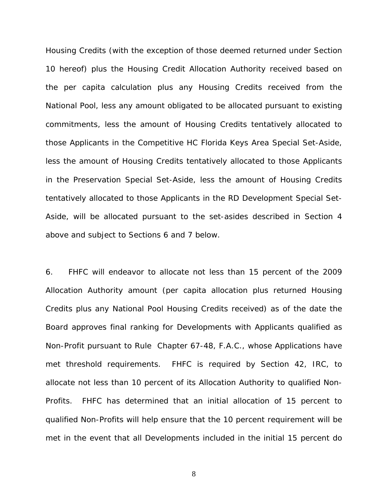Housing Credits (with the exception of those deemed returned under Section 10 hereof) plus the Housing Credit Allocation Authority received based on the per capita calculation plus any Housing Credits received from the National Pool, less any amount obligated to be allocated pursuant to existing commitments, less the amount of Housing Credits tentatively allocated to those Applicants in the Competitive HC Florida Keys Area Special Set-Aside, less the amount of Housing Credits tentatively allocated to those Applicants in the Preservation Special Set-Aside, less the amount of Housing Credits tentatively allocated to those Applicants in the RD Development Special Set-Aside, will be allocated pursuant to the set-asides described in Section 4 above and subject to Sections 6 and 7 below.

6. FHFC will endeavor to allocate not less than 15 percent of the 2009 Allocation Authority amount (per capita allocation plus returned Housing Credits plus any National Pool Housing Credits received) as of the date the Board approves final ranking for Developments with Applicants qualified as Non-Profit pursuant to Rule Chapter 67-48, F.A.C., whose Applications have met threshold requirements. FHFC is required by Section 42, IRC, to allocate not less than 10 percent of its Allocation Authority to qualified Non-Profits. FHFC has determined that an initial allocation of 15 percent to qualified Non-Profits will help ensure that the 10 percent requirement will be met in the event that all Developments included in the initial 15 percent do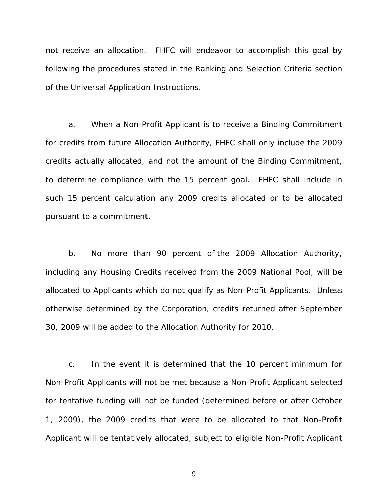not receive an allocation. FHFC will endeavor to accomplish this goal by following the procedures stated in the Ranking and Selection Criteria section of the Universal Application Instructions.

a. When a Non-Profit Applicant is to receive a Binding Commitment for credits from future Allocation Authority, FHFC shall only include the 2009 credits actually allocated, and not the amount of the Binding Commitment, to determine compliance with the 15 percent goal. FHFC shall include in such 15 percent calculation any 2009 credits allocated or to be allocated pursuant to a commitment.

b. No more than 90 percent of the 2009 Allocation Authority, including any Housing Credits received from the 2009 National Pool, will be allocated to Applicants which do not qualify as Non-Profit Applicants. Unless otherwise determined by the Corporation, credits returned after September 30, 2009 will be added to the Allocation Authority for 2010.

c. In the event it is determined that the 10 percent minimum for Non-Profit Applicants will not be met because a Non-Profit Applicant selected for tentative funding will not be funded (determined before or after October 1, 2009), the 2009 credits that were to be allocated to that Non-Profit Applicant will be tentatively allocated, subject to eligible Non-Profit Applicant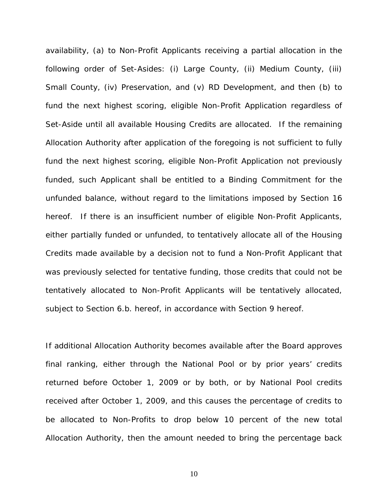availability, (a) to Non-Profit Applicants receiving a partial allocation in the following order of Set-Asides: (i) Large County, (ii) Medium County, (iii) Small County, (iv) Preservation, and (v) RD Development, and then (b) to fund the next highest scoring, eligible Non-Profit Application regardless of Set-Aside until all available Housing Credits are allocated. If the remaining Allocation Authority after application of the foregoing is not sufficient to fully fund the next highest scoring, eligible Non-Profit Application not previously funded, such Applicant shall be entitled to a Binding Commitment for the unfunded balance, without regard to the limitations imposed by Section 16 hereof. If there is an insufficient number of eligible Non-Profit Applicants, either partially funded or unfunded, to tentatively allocate all of the Housing Credits made available by a decision not to fund a Non-Profit Applicant that was previously selected for tentative funding, those credits that could not be tentatively allocated to Non-Profit Applicants will be tentatively allocated, subject to Section 6.b. hereof, in accordance with Section 9 hereof.

If additional Allocation Authority becomes available after the Board approves final ranking, either through the National Pool or by prior years' credits returned before October 1, 2009 or by both, or by National Pool credits received after October 1, 2009, and this causes the percentage of credits to be allocated to Non-Profits to drop below 10 percent of the new total Allocation Authority, then the amount needed to bring the percentage back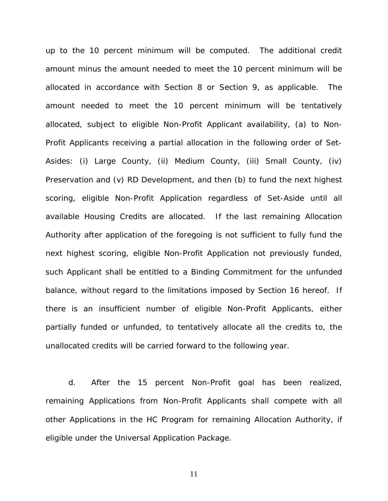up to the 10 percent minimum will be computed. The additional credit amount minus the amount needed to meet the 10 percent minimum will be allocated in accordance with Section 8 or Section 9, as applicable. The amount needed to meet the 10 percent minimum will be tentatively allocated, subject to eligible Non-Profit Applicant availability, (a) to Non-Profit Applicants receiving a partial allocation in the following order of Set-Asides: (i) Large County, (ii) Medium County, (iii) Small County, (iv) Preservation and (v) RD Development, and then (b) to fund the next highest scoring, eligible Non-Profit Application regardless of Set-Aside until all available Housing Credits are allocated. If the last remaining Allocation Authority after application of the foregoing is not sufficient to fully fund the next highest scoring, eligible Non-Profit Application not previously funded, such Applicant shall be entitled to a Binding Commitment for the unfunded balance, without regard to the limitations imposed by Section 16 hereof. If there is an insufficient number of eligible Non-Profit Applicants, either partially funded or unfunded, to tentatively allocate all the credits to, the unallocated credits will be carried forward to the following year.

d. After the 15 percent Non-Profit goal has been realized, remaining Applications from Non-Profit Applicants shall compete with all other Applications in the HC Program for remaining Allocation Authority, if eligible under the Universal Application Package.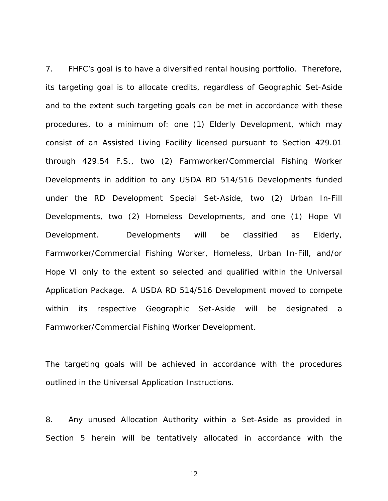7. FHFC's goal is to have a diversified rental housing portfolio. Therefore, its targeting goal is to allocate credits, regardless of Geographic Set-Aside and to the extent such targeting goals can be met in accordance with these procedures, to a minimum of: one (1) Elderly Development, which may consist of an Assisted Living Facility licensed pursuant to Section 429.01 through 429.54 F.S., two (2) Farmworker/Commercial Fishing Worker Developments in addition to any USDA RD 514/516 Developments funded under the RD Development Special Set-Aside, two (2) Urban In-Fill Developments, two (2) Homeless Developments, and one (1) Hope VI Development. Developments will be classified as Elderly, Farmworker/Commercial Fishing Worker, Homeless, Urban In-Fill, and/or Hope VI only to the extent so selected and qualified within the Universal Application Package. A USDA RD 514/516 Development moved to compete within its respective Geographic Set-Aside will be designated a Farmworker/Commercial Fishing Worker Development.

The targeting goals will be achieved in accordance with the procedures outlined in the Universal Application Instructions.

8. Any unused Allocation Authority within a Set-Aside as provided in Section 5 herein will be tentatively allocated in accordance with the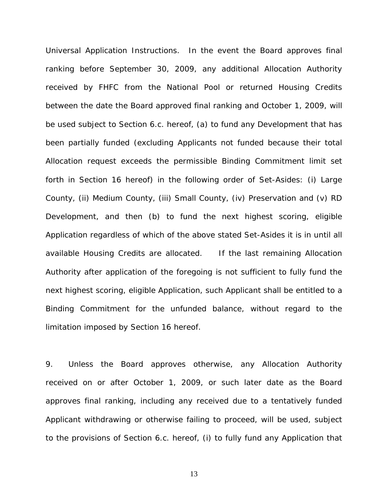Universal Application Instructions. In the event the Board approves final ranking before September 30, 2009, any additional Allocation Authority received by FHFC from the National Pool or returned Housing Credits between the date the Board approved final ranking and October 1, 2009, will be used subject to Section 6.c. hereof, (a) to fund any Development that has been partially funded (excluding Applicants not funded because their total Allocation request exceeds the permissible Binding Commitment limit set forth in Section 16 hereof) in the following order of Set-Asides: (i) Large County, (ii) Medium County, (iii) Small County, (iv) Preservation and (v) RD Development, and then (b) to fund the next highest scoring, eligible Application regardless of which of the above stated Set-Asides it is in until all available Housing Credits are allocated. If the last remaining Allocation Authority after application of the foregoing is not sufficient to fully fund the next highest scoring, eligible Application, such Applicant shall be entitled to a Binding Commitment for the unfunded balance, without regard to the limitation imposed by Section 16 hereof.

9. Unless the Board approves otherwise, any Allocation Authority received on or after October 1, 2009, or such later date as the Board approves final ranking, including any received due to a tentatively funded Applicant withdrawing or otherwise failing to proceed, will be used, subject to the provisions of Section 6.c. hereof, (i) to fully fund any Application that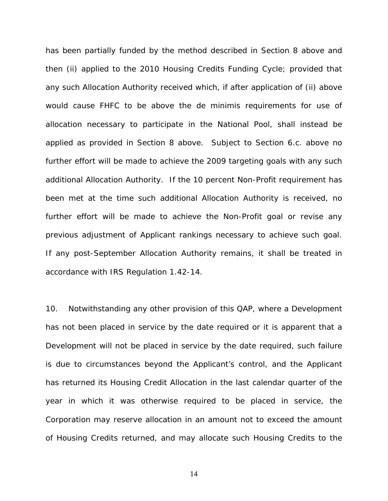has been partially funded by the method described in Section 8 above and then (ii) applied to the 2010 Housing Credits Funding Cycle; provided that any such Allocation Authority received which, if after application of (ii) above would cause FHFC to be above the de minimis requirements for use of allocation necessary to participate in the National Pool, shall instead be applied as provided in Section 8 above. Subject to Section 6.c. above no further effort will be made to achieve the 2009 targeting goals with any such additional Allocation Authority. If the 10 percent Non-Profit requirement has been met at the time such additional Allocation Authority is received, no further effort will be made to achieve the Non-Profit goal or revise any previous adjustment of Applicant rankings necessary to achieve such goal. If any post-September Allocation Authority remains, it shall be treated in accordance with IRS Regulation 1.42-14.

10. Notwithstanding any other provision of this QAP, where a Development has not been placed in service by the date required or it is apparent that a Development will not be placed in service by the date required, such failure is due to circumstances beyond the Applicant's control, and the Applicant has returned its Housing Credit Allocation in the last calendar quarter of the year in which it was otherwise required to be placed in service, the Corporation may reserve allocation in an amount not to exceed the amount of Housing Credits returned, and may allocate such Housing Credits to the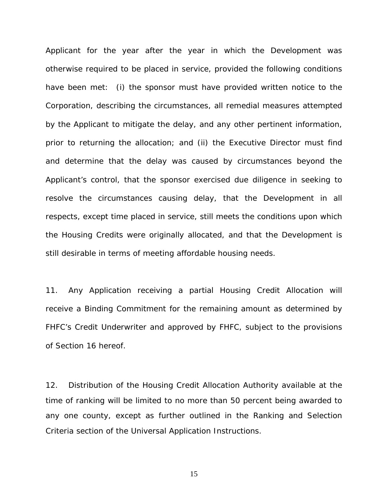Applicant for the year after the year in which the Development was otherwise required to be placed in service, provided the following conditions have been met: (i) the sponsor must have provided written notice to the Corporation, describing the circumstances, all remedial measures attempted by the Applicant to mitigate the delay, and any other pertinent information, prior to returning the allocation; and (ii) the Executive Director must find and determine that the delay was caused by circumstances beyond the Applicant's control, that the sponsor exercised due diligence in seeking to resolve the circumstances causing delay, that the Development in all respects, except time placed in service, still meets the conditions upon which the Housing Credits were originally allocated, and that the Development is still desirable in terms of meeting affordable housing needs.

11. Any Application receiving a partial Housing Credit Allocation will receive a Binding Commitment for the remaining amount as determined by FHFC's Credit Underwriter and approved by FHFC, subject to the provisions of Section 16 hereof.

12. Distribution of the Housing Credit Allocation Authority available at the time of ranking will be limited to no more than 50 percent being awarded to any one county, except as further outlined in the Ranking and Selection Criteria section of the Universal Application Instructions.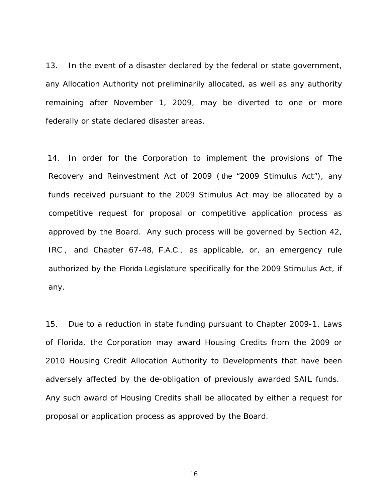13. In the event of a disaster declared by the federal or state government, any Allocation Authority not preliminarily allocated, as well as any authority remaining after November 1, 2009, may be diverted to one or more federally or state declared disaster areas.

14. In order for the Corporation to implement the provisions of The Recovery and Reinvestment Act of 2009 ( the "2009 Stimulus Act"), any funds received pursuant to the 2009 Stimulus Act may be allocated by a competitive request for proposal or competitive application process as approved by the Board. Any such process will be governed by Section 42, IRC , and Chapter 67-48, F.A.C., as applicable, or, an emergency rule authorized by the Florida Legislature specifically for the 2009 Stimulus Act, if any.

15. Due to a reduction in state funding pursuant to Chapter 2009-1, Laws of Florida, the Corporation may award Housing Credits from the 2009 or 2010 Housing Credit Allocation Authority to Developments that have been adversely affected by the de-obligation of previously awarded SAIL funds. Any such award of Housing Credits shall be allocated by either a request for proposal or application process as approved by the Board.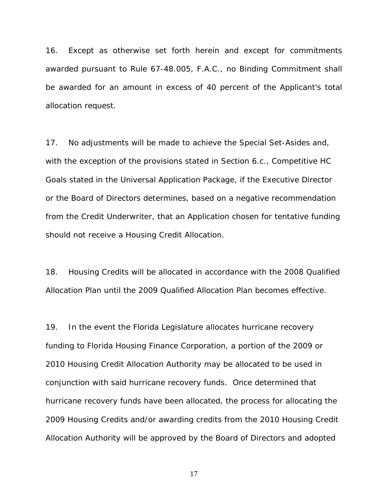16. Except as otherwise set forth herein and except for commitments awarded pursuant to Rule 67-48.005, F.A.C., no Binding Commitment shall be awarded for an amount in excess of 40 percent of the Applicant's total allocation request.

17. No adjustments will be made to achieve the Special Set-Asides and, with the exception of the provisions stated in Section 6.c., Competitive HC Goals stated in the Universal Application Package, if the Executive Director or the Board of Directors determines, based on a negative recommendation from the Credit Underwriter, that an Application chosen for tentative funding should not receive a Housing Credit Allocation.

18. Housing Credits will be allocated in accordance with the 2008 Qualified Allocation Plan until the 2009 Qualified Allocation Plan becomes effective.

19. In the event the Florida Legislature allocates hurricane recovery funding to Florida Housing Finance Corporation, a portion of the 2009 or 2010 Housing Credit Allocation Authority may be allocated to be used in conjunction with said hurricane recovery funds. Once determined that hurricane recovery funds have been allocated, the process for allocating the 2009 Housing Credits and/or awarding credits from the 2010 Housing Credit Allocation Authority will be approved by the Board of Directors and adopted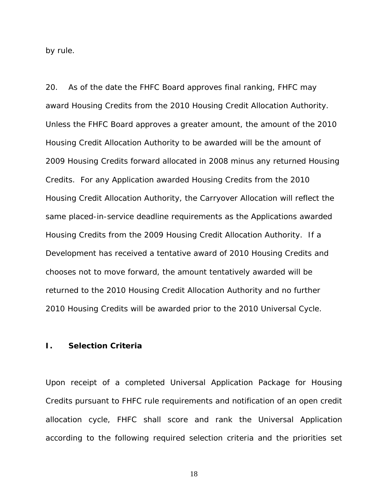by rule.

20. As of the date the FHFC Board approves final ranking, FHFC may award Housing Credits from the 2010 Housing Credit Allocation Authority. Unless the FHFC Board approves a greater amount, the amount of the 2010 Housing Credit Allocation Authority to be awarded will be the amount of 2009 Housing Credits forward allocated in 2008 minus any returned Housing Credits. For any Application awarded Housing Credits from the 2010 Housing Credit Allocation Authority, the Carryover Allocation will reflect the same placed-in-service deadline requirements as the Applications awarded Housing Credits from the 2009 Housing Credit Allocation Authority. If a Development has received a tentative award of 2010 Housing Credits and chooses not to move forward, the amount tentatively awarded will be returned to the 2010 Housing Credit Allocation Authority and no further 2010 Housing Credits will be awarded prior to the 2010 Universal Cycle.

#### **I. Selection Criteria**

Upon receipt of a completed Universal Application Package for Housing Credits pursuant to FHFC rule requirements and notification of an open credit allocation cycle, FHFC shall score and rank the Universal Application according to the following required selection criteria and the priorities set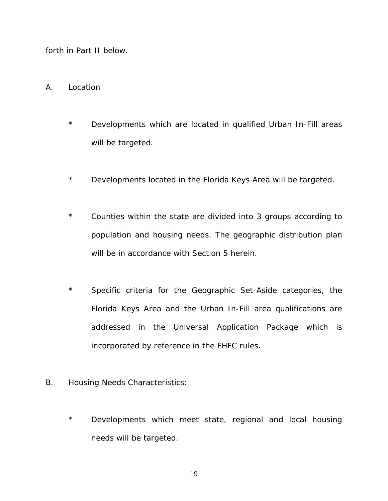forth in Part II below.

- A. Location
	- \* Developments which are located in qualified Urban In-Fill areas will be targeted.
	- \* Developments located in the Florida Keys Area will be targeted.
	- \* Counties within the state are divided into 3 groups according to population and housing needs. The geographic distribution plan will be in accordance with Section 5 herein.
	- \* Specific criteria for the Geographic Set-Aside categories, the Florida Keys Area and the Urban In-Fill area qualifications are addressed in the Universal Application Package which is incorporated by reference in the FHFC rules.
- B. Housing Needs Characteristics:
	- \* Developments which meet state, regional and local housing needs will be targeted.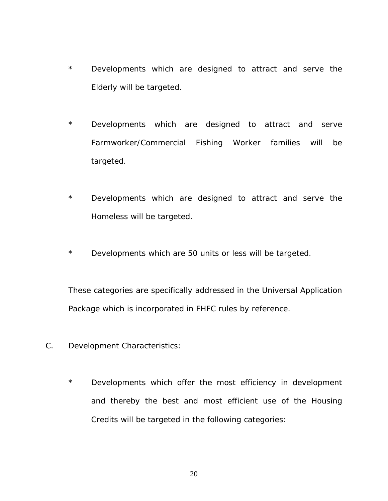- \* Developments which are designed to attract and serve the Elderly will be targeted.
- \* Developments which are designed to attract and serve Farmworker/Commercial Fishing Worker families will be targeted.
- \* Developments which are designed to attract and serve the Homeless will be targeted.
- \* Developments which are 50 units or less will be targeted.

These categories are specifically addressed in the Universal Application Package which is incorporated in FHFC rules by reference.

- C. Development Characteristics:
	- \* Developments which offer the most efficiency in development and thereby the best and most efficient use of the Housing Credits will be targeted in the following categories: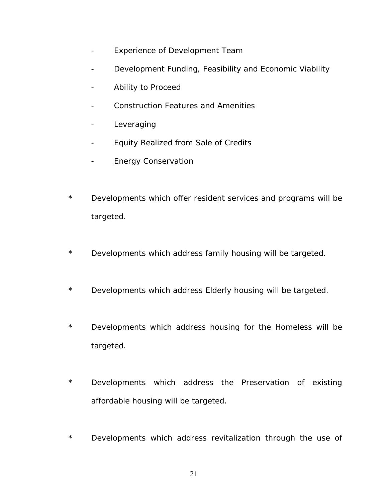- Experience of Development Team
- Development Funding, Feasibility and Economic Viability
- Ability to Proceed
- Construction Features and Amenities
- Leveraging
- Equity Realized from Sale of Credits
- Energy Conservation
- \* Developments which offer resident services and programs will be targeted.
- \* Developments which address family housing will be targeted.
- \* Developments which address Elderly housing will be targeted.
- \* Developments which address housing for the Homeless will be targeted.
- \* Developments which address the Preservation of existing affordable housing will be targeted.
- \* Developments which address revitalization through the use of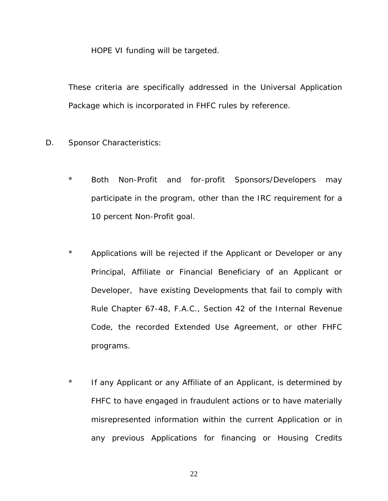HOPE VI funding will be targeted.

These criteria are specifically addressed in the Universal Application Package which is incorporated in FHFC rules by reference.

- D. Sponsor Characteristics:
	- \* Both Non-Profit and for-profit Sponsors/Developers may participate in the program, other than the IRC requirement for a 10 percent Non-Profit goal.
	- \* Applications will be rejected if the Applicant or Developer or any Principal, Affiliate or Financial Beneficiary of an Applicant or Developer, have existing Developments that fail to comply with Rule Chapter 67-48, F.A.C., Section 42 of the Internal Revenue Code, the recorded Extended Use Agreement, or other FHFC programs.
	- \* If any Applicant or any Affiliate of an Applicant, is determined by FHFC to have engaged in fraudulent actions or to have materially misrepresented information within the current Application or in any previous Applications for financing or Housing Credits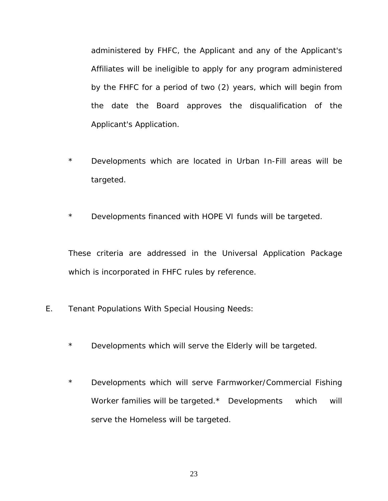administered by FHFC, the Applicant and any of the Applicant's Affiliates will be ineligible to apply for any program administered by the FHFC for a period of two (2) years, which will begin from the date the Board approves the disqualification of the Applicant's Application.

- \* Developments which are located in Urban In-Fill areas will be targeted.
- \* Developments financed with HOPE VI funds will be targeted.

These criteria are addressed in the Universal Application Package which is incorporated in FHFC rules by reference.

- E. Tenant Populations With Special Housing Needs:
	- \* Developments which will serve the Elderly will be targeted.
	- \* Developments which will serve Farmworker/Commercial Fishing Worker families will be targeted.\* Developments which will serve the Homeless will be targeted.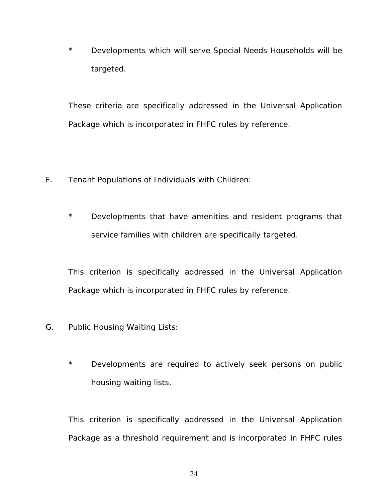\* Developments which will serve Special Needs Households will be targeted.

These criteria are specifically addressed in the Universal Application Package which is incorporated in FHFC rules by reference.

- F. Tenant Populations of Individuals with Children:
	- \* Developments that have amenities and resident programs that service families with children are specifically targeted.

This criterion is specifically addressed in the Universal Application Package which is incorporated in FHFC rules by reference.

- G. Public Housing Waiting Lists:
	- \* Developments are required to actively seek persons on public housing waiting lists.

This criterion is specifically addressed in the Universal Application Package as a threshold requirement and is incorporated in FHFC rules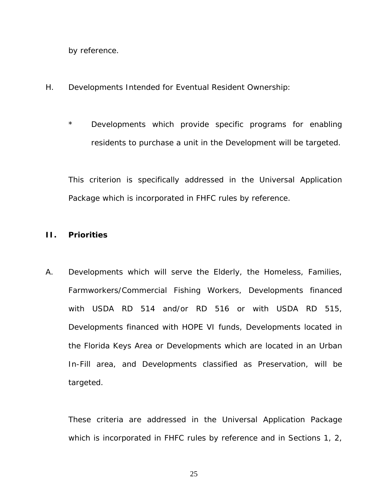by reference.

- H. Developments Intended for Eventual Resident Ownership:
	- \* Developments which provide specific programs for enabling residents to purchase a unit in the Development will be targeted.

This criterion is specifically addressed in the Universal Application Package which is incorporated in FHFC rules by reference.

### **II. Priorities**

A. Developments which will serve the Elderly, the Homeless, Families, Farmworkers/Commercial Fishing Workers, Developments financed with USDA RD 514 and/or RD 516 or with USDA RD 515, Developments financed with HOPE VI funds, Developments located in the Florida Keys Area or Developments which are located in an Urban In-Fill area, and Developments classified as Preservation, will be targeted.

These criteria are addressed in the Universal Application Package which is incorporated in FHFC rules by reference and in Sections 1, 2,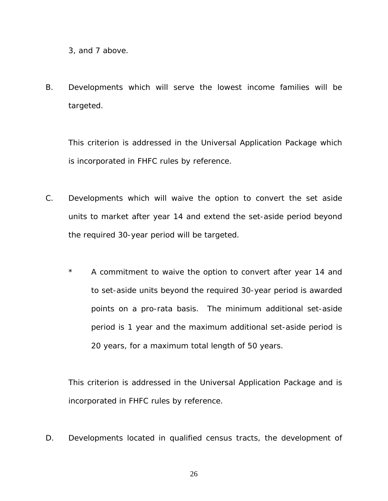3, and 7 above.

B. Developments which will serve the lowest income families will be targeted.

This criterion is addressed in the Universal Application Package which is incorporated in FHFC rules by reference.

- C. Developments which will waive the option to convert the set aside units to market after year 14 and extend the set-aside period beyond the required 30-year period will be targeted.
	- \* A commitment to waive the option to convert after year 14 and to set-aside units beyond the required 30-year period is awarded points on a pro-rata basis. The minimum additional set-aside period is 1 year and the maximum additional set-aside period is 20 years, for a maximum total length of 50 years.

This criterion is addressed in the Universal Application Package and is incorporated in FHFC rules by reference.

D. Developments located in qualified census tracts, the development of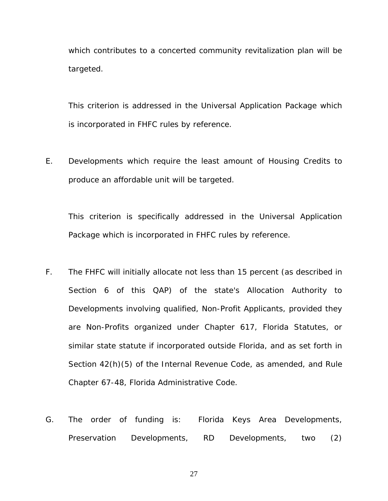which contributes to a concerted community revitalization plan will be targeted.

This criterion is addressed in the Universal Application Package which is incorporated in FHFC rules by reference.

E. Developments which require the least amount of Housing Credits to produce an affordable unit will be targeted.

This criterion is specifically addressed in the Universal Application Package which is incorporated in FHFC rules by reference.

- F. The FHFC will initially allocate not less than 15 percent (as described in Section 6 of this QAP) of the state's Allocation Authority to Developments involving qualified, Non-Profit Applicants, provided they are Non-Profits organized under Chapter 617, Florida Statutes, or similar state statute if incorporated outside Florida, and as set forth in Section 42(h)(5) of the Internal Revenue Code, as amended, and Rule Chapter 67-48, Florida Administrative Code.
- G. The order of funding is: Florida Keys Area Developments, Preservation Developments, RD Developments, two (2)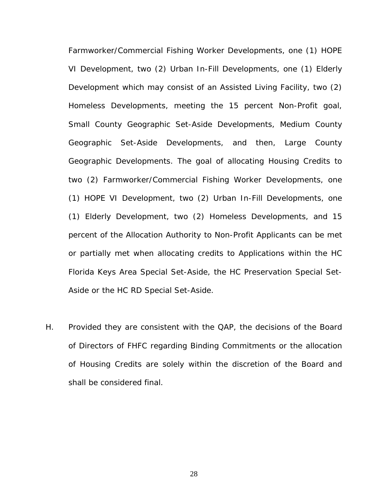Farmworker/Commercial Fishing Worker Developments, one (1) HOPE VI Development, two (2) Urban In-Fill Developments, one (1) Elderly Development which may consist of an Assisted Living Facility, two (2) Homeless Developments, meeting the 15 percent Non-Profit goal, Small County Geographic Set-Aside Developments, Medium County Geographic Set-Aside Developments, and then, Large County Geographic Developments. The goal of allocating Housing Credits to two (2) Farmworker/Commercial Fishing Worker Developments, one (1) HOPE VI Development, two (2) Urban In-Fill Developments, one (1) Elderly Development, two (2) Homeless Developments, and 15 percent of the Allocation Authority to Non-Profit Applicants can be met or partially met when allocating credits to Applications within the HC Florida Keys Area Special Set-Aside, the HC Preservation Special Set-Aside or the HC RD Special Set-Aside.

H. Provided they are consistent with the QAP, the decisions of the Board of Directors of FHFC regarding Binding Commitments or the allocation of Housing Credits are solely within the discretion of the Board and shall be considered final.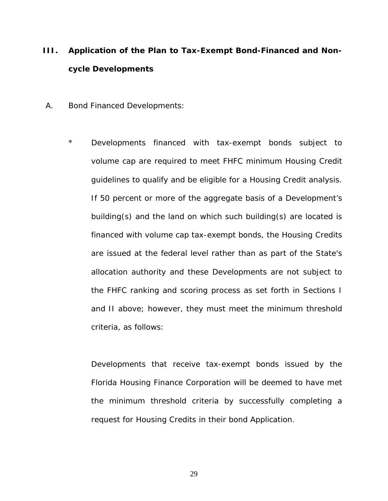## **III. Application of the Plan to Tax-Exempt Bond-Financed and Noncycle Developments**

- A. Bond Financed Developments:
	- \* Developments financed with tax-exempt bonds subject to volume cap are required to meet FHFC minimum Housing Credit guidelines to qualify and be eligible for a Housing Credit analysis. If 50 percent or more of the aggregate basis of a Development's building(s) and the land on which such building(s) are located is financed with volume cap tax-exempt bonds, the Housing Credits are issued at the federal level rather than as part of the State's allocation authority and these Developments are not subject to the FHFC ranking and scoring process as set forth in Sections I and II above; however, they must meet the minimum threshold criteria, as follows:

Developments that receive tax-exempt bonds issued by the Florida Housing Finance Corporation will be deemed to have met the minimum threshold criteria by successfully completing a request for Housing Credits in their bond Application.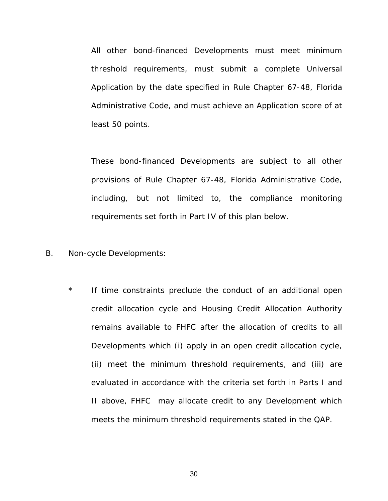All other bond-financed Developments must meet minimum threshold requirements, must submit a complete Universal Application by the date specified in Rule Chapter 67-48, Florida Administrative Code, and must achieve an Application score of at least 50 points.

These bond-financed Developments are subject to all other provisions of Rule Chapter 67-48, Florida Administrative Code, including, but not limited to, the compliance monitoring requirements set forth in Part IV of this plan below.

- B. Non-cycle Developments:
	- \* If time constraints preclude the conduct of an additional open credit allocation cycle and Housing Credit Allocation Authority remains available to FHFC after the allocation of credits to all Developments which (i) apply in an open credit allocation cycle, (ii) meet the minimum threshold requirements, and (iii) are evaluated in accordance with the criteria set forth in Parts I and II above, FHFC may allocate credit to any Development which meets the minimum threshold requirements stated in the QAP.